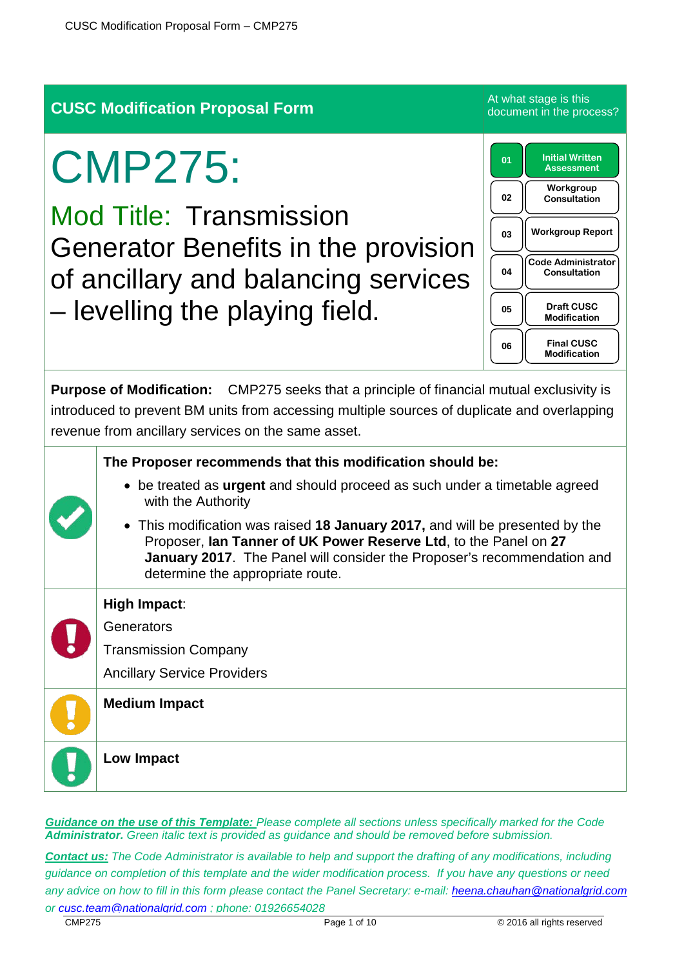# **CUSC Modification Proposal Form** At what stage is this experience the product of the product of the product of the product of the product of the product of the product of the product of the product of the product of the p

# CMP275:

Mod Title: Transmission Generator Benefits in the provision of ancillary and balancing services – levelling the playing field.

**01 Initial Written Assessment 02 Workgroup Consultation 03 Workgroup Report 04 Code Administrator Consultation 05 Draft CUSC Modification 06 Final CUSC Modification** 

document in the process?

**Purpose of Modification:** CMP275 seeks that a principle of financial mutual exclusivity is introduced to prevent BM units from accessing multiple sources of duplicate and overlapping revenue from ancillary services on the same asset.

|  | The Proposer recommends that this modification should be:                                                                                                                                                                                                              |
|--|------------------------------------------------------------------------------------------------------------------------------------------------------------------------------------------------------------------------------------------------------------------------|
|  | • be treated as urgent and should proceed as such under a timetable agreed<br>with the Authority                                                                                                                                                                       |
|  | • This modification was raised 18 January 2017, and will be presented by the<br>Proposer, Ian Tanner of UK Power Reserve Ltd, to the Panel on 27<br><b>January 2017.</b> The Panel will consider the Proposer's recommendation and<br>determine the appropriate route. |
|  | High Impact:                                                                                                                                                                                                                                                           |
|  | Generators                                                                                                                                                                                                                                                             |
|  | <b>Transmission Company</b>                                                                                                                                                                                                                                            |
|  | <b>Ancillary Service Providers</b>                                                                                                                                                                                                                                     |
|  | <b>Medium Impact</b>                                                                                                                                                                                                                                                   |
|  | Low Impact                                                                                                                                                                                                                                                             |
|  |                                                                                                                                                                                                                                                                        |

*Guidance on the use of this Template: Please complete all sections unless specifically marked for the Code Administrator. Green italic text is provided as guidance and should be removed before submission.*

*Contact us: The Code Administrator is available to help and support the drafting of any modifications, including guidance on completion of this template and the wider modification process. If you have any questions or need any advice on how to fill in this form please contact the Panel Secretary: e-mail: [heena.chauhan@nationalgrid.com](mailto:heena.chauhan@nationalgrid.com) or [cusc.team@nationalgrid.com](mailto:cusc.team@nationalgrid.com) ; phone: 01926654028*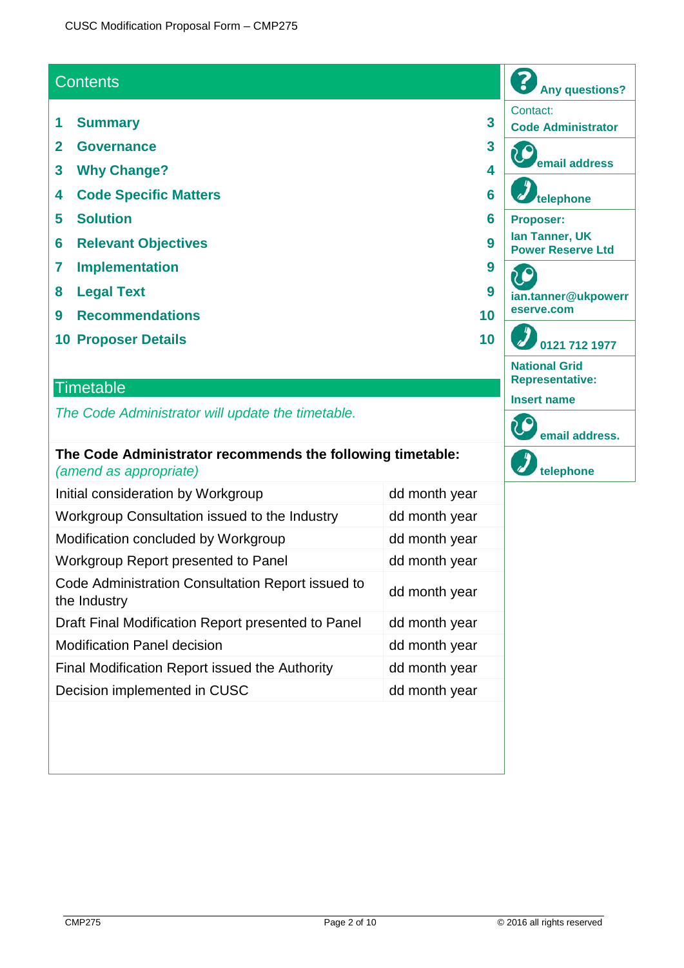## **Contents**

- **1 Summary 3**
- **2 Governance 3**
- **3 Why Change? 4**
- **4 Code Specific Matters 6**
- **5 Solution 6**
- **6 Relevant Objectives 9**
- **7 Implementation 9**
- **8 Legal Text 9**
- **9 Recommendations 10**
- **10 Proposer Details 10**

### **Timetable**

*The Code Administrator will update the timetable.*

#### **The Code Administrator recommends the following timetable:** *(amend as appropriate)*

| Initial consideration by Workgroup                                | dd month year |
|-------------------------------------------------------------------|---------------|
| Workgroup Consultation issued to the Industry                     | dd month year |
| Modification concluded by Workgroup                               | dd month year |
| Workgroup Report presented to Panel                               | dd month year |
| Code Administration Consultation Report issued to<br>the Industry | dd month year |
| Draft Final Modification Report presented to Panel                | dd month year |
| <b>Modification Panel decision</b>                                | dd month year |
| Final Modification Report issued the Authority                    | dd month year |
| Decision implemented in CUSC                                      | dd month year |

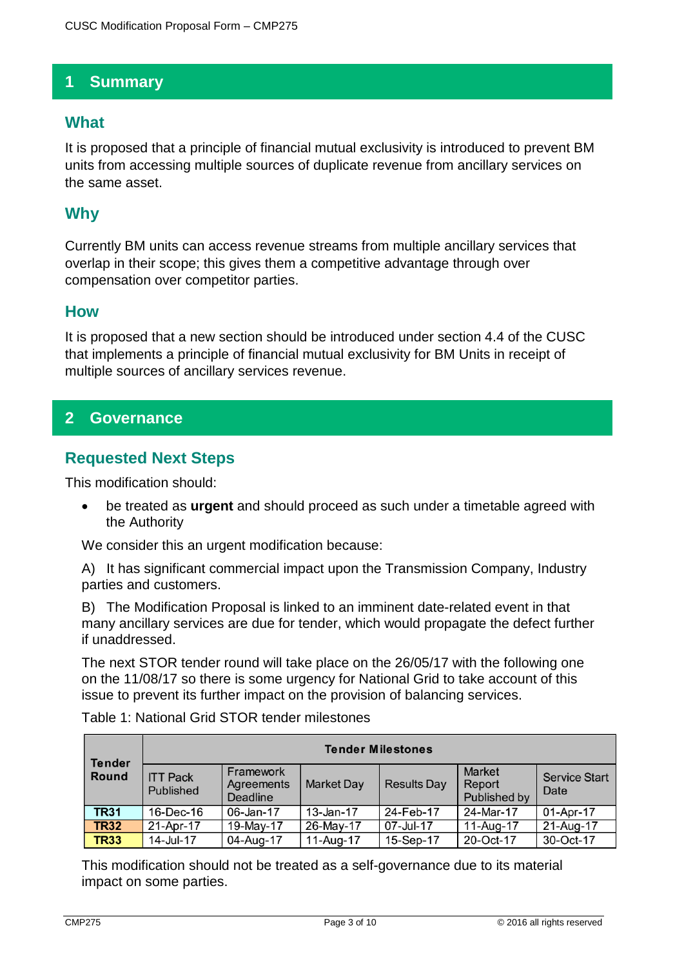## **1 Summary**

## **What**

It is proposed that a principle of financial mutual exclusivity is introduced to prevent BM units from accessing multiple sources of duplicate revenue from ancillary services on the same asset.

## **Why**

Currently BM units can access revenue streams from multiple ancillary services that overlap in their scope; this gives them a competitive advantage through over compensation over competitor parties.

### **How**

It is proposed that a new section should be introduced under section 4.4 of the CUSC that implements a principle of financial mutual exclusivity for BM Units in receipt of multiple sources of ancillary services revenue.

## **2 Governance**

## **Requested Next Steps**

This modification should:

• be treated as **urgent** and should proceed as such under a timetable agreed with the Authority

We consider this an urgent modification because:

A) It has significant commercial impact upon the Transmission Company, Industry parties and customers.

B) The Modification Proposal is linked to an imminent date-related event in that many ancillary services are due for tender, which would propagate the defect further if unaddressed.

The next STOR tender round will take place on the 26/05/17 with the following one on the 11/08/17 so there is some urgency for National Grid to take account of this issue to prevent its further impact on the provision of balancing services.

| <b>Tender</b><br><b>Round</b> | <b>Tender Milestones</b>     |                                            |                   |                    |                                         |                              |
|-------------------------------|------------------------------|--------------------------------------------|-------------------|--------------------|-----------------------------------------|------------------------------|
|                               | <b>ITT Pack</b><br>Published | Framework<br>Agreements<br><b>Deadline</b> | <b>Market Day</b> | <b>Results Day</b> | <b>Market</b><br>Report<br>Published by | <b>Service Start</b><br>Date |
| <b>TR31</b>                   | 16-Dec-16                    | 06-Jan-17                                  | $13 - Jan-17$     | 24-Feb-17          | 24-Mar-17                               | 01-Apr-17                    |
| <b>TR32</b>                   | 21-Apr-17                    | 19-May-17                                  | 26-May-17         | 07-Jul-17          | 11-Aug-17                               | 21-Aug-17                    |
| <b>TR33</b>                   | 14-Jul-17                    | 04-Aug-17                                  | 11-Aug-17         | 15-Sep-17          | 20-Oct-17                               | 30-Oct-17                    |

Table 1: National Grid STOR tender milestones

This modification should not be treated as a self-governance due to its material impact on some parties.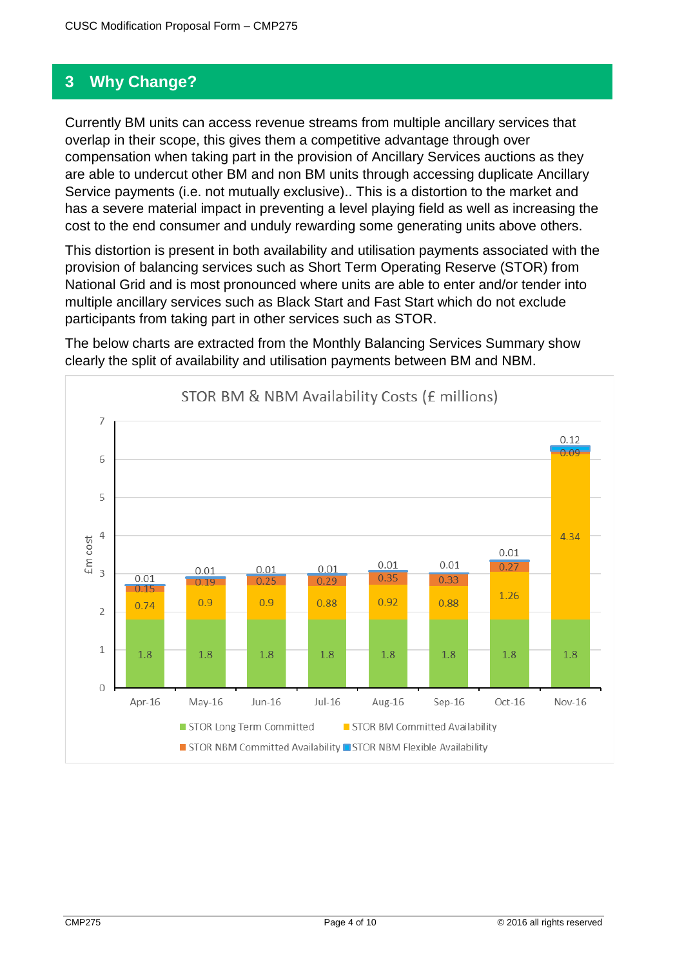## **3 Why Change?**

Currently BM units can access revenue streams from multiple ancillary services that overlap in their scope, this gives them a competitive advantage through over compensation when taking part in the provision of Ancillary Services auctions as they are able to undercut other BM and non BM units through accessing duplicate Ancillary Service payments (i.e. not mutually exclusive).. This is a distortion to the market and has a severe material impact in preventing a level playing field as well as increasing the cost to the end consumer and unduly rewarding some generating units above others.

This distortion is present in both availability and utilisation payments associated with the provision of balancing services such as Short Term Operating Reserve (STOR) from National Grid and is most pronounced where units are able to enter and/or tender into multiple ancillary services such as Black Start and Fast Start which do not exclude participants from taking part in other services such as STOR.

The below charts are extracted from the Monthly Balancing Services Summary show clearly the split of availability and utilisation payments between BM and NBM.

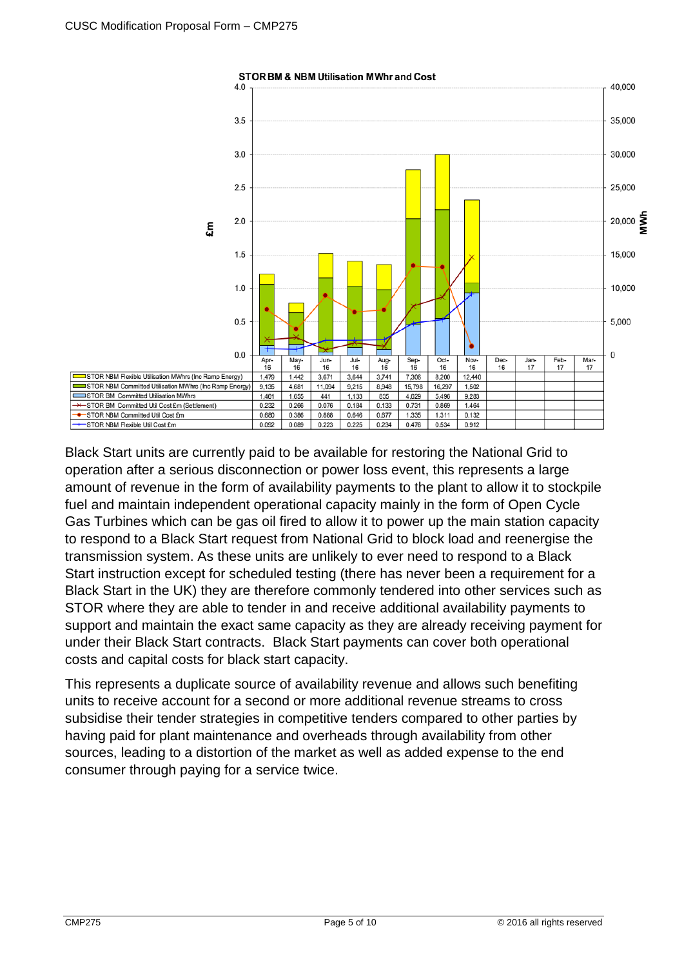

Black Start units are currently paid to be available for restoring the National Grid to operation after a serious disconnection or power loss event, this represents a large amount of revenue in the form of availability payments to the plant to allow it to stockpile fuel and maintain independent operational capacity mainly in the form of Open Cycle Gas Turbines which can be gas oil fired to allow it to power up the main station capacity to respond to a Black Start request from National Grid to block load and reenergise the transmission system. As these units are unlikely to ever need to respond to a Black Start instruction except for scheduled testing (there has never been a requirement for a Black Start in the UK) they are therefore commonly tendered into other services such as STOR where they are able to tender in and receive additional availability payments to support and maintain the exact same capacity as they are already receiving payment for under their Black Start contracts. Black Start payments can cover both operational costs and capital costs for black start capacity.

This represents a duplicate source of availability revenue and allows such benefiting units to receive account for a second or more additional revenue streams to cross subsidise their tender strategies in competitive tenders compared to other parties by having paid for plant maintenance and overheads through availability from other sources, leading to a distortion of the market as well as added expense to the end consumer through paying for a service twice.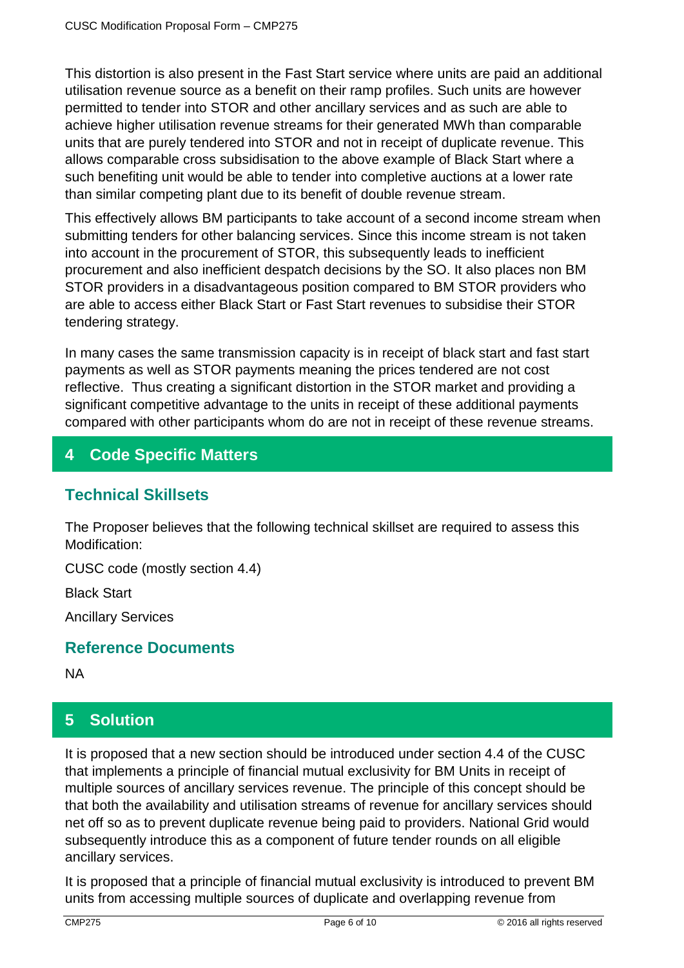This distortion is also present in the Fast Start service where units are paid an additional utilisation revenue source as a benefit on their ramp profiles. Such units are however permitted to tender into STOR and other ancillary services and as such are able to achieve higher utilisation revenue streams for their generated MWh than comparable units that are purely tendered into STOR and not in receipt of duplicate revenue. This allows comparable cross subsidisation to the above example of Black Start where a such benefiting unit would be able to tender into completive auctions at a lower rate than similar competing plant due to its benefit of double revenue stream.

This effectively allows BM participants to take account of a second income stream when submitting tenders for other balancing services. Since this income stream is not taken into account in the procurement of STOR, this subsequently leads to inefficient procurement and also inefficient despatch decisions by the SO. It also places non BM STOR providers in a disadvantageous position compared to BM STOR providers who are able to access either Black Start or Fast Start revenues to subsidise their STOR tendering strategy.

In many cases the same transmission capacity is in receipt of black start and fast start payments as well as STOR payments meaning the prices tendered are not cost reflective. Thus creating a significant distortion in the STOR market and providing a significant competitive advantage to the units in receipt of these additional payments compared with other participants whom do are not in receipt of these revenue streams.

## **4 Code Specific Matters**

## **Technical Skillsets**

The Proposer believes that the following technical skillset are required to assess this Modification:

CUSC code (mostly section 4.4)

Black Start

Ancillary Services

## **Reference Documents**

NA

# **5 Solution**

It is proposed that a new section should be introduced under section 4.4 of the CUSC that implements a principle of financial mutual exclusivity for BM Units in receipt of multiple sources of ancillary services revenue. The principle of this concept should be that both the availability and utilisation streams of revenue for ancillary services should net off so as to prevent duplicate revenue being paid to providers. National Grid would subsequently introduce this as a component of future tender rounds on all eligible ancillary services.

It is proposed that a principle of financial mutual exclusivity is introduced to prevent BM units from accessing multiple sources of duplicate and overlapping revenue from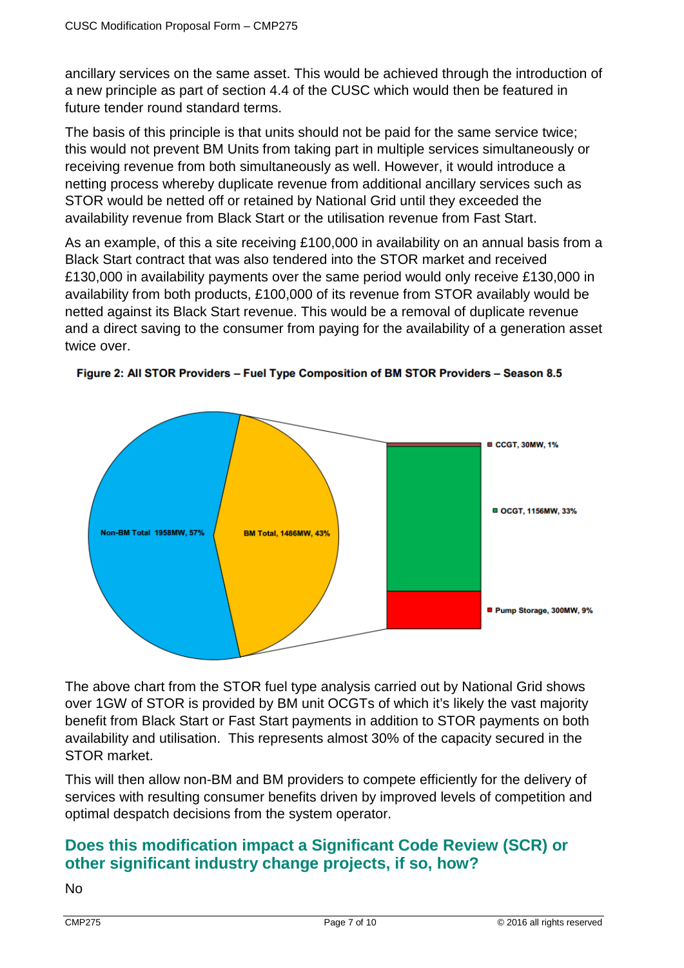ancillary services on the same asset. This would be achieved through the introduction of a new principle as part of section 4.4 of the CUSC which would then be featured in future tender round standard terms.

The basis of this principle is that units should not be paid for the same service twice; this would not prevent BM Units from taking part in multiple services simultaneously or receiving revenue from both simultaneously as well. However, it would introduce a netting process whereby duplicate revenue from additional ancillary services such as STOR would be netted off or retained by National Grid until they exceeded the availability revenue from Black Start or the utilisation revenue from Fast Start.

As an example, of this a site receiving £100,000 in availability on an annual basis from a Black Start contract that was also tendered into the STOR market and received £130,000 in availability payments over the same period would only receive £130,000 in availability from both products, £100,000 of its revenue from STOR availably would be netted against its Black Start revenue. This would be a removal of duplicate revenue and a direct saving to the consumer from paying for the availability of a generation asset twice over.



Figure 2: All STOR Providers - Fuel Type Composition of BM STOR Providers - Season 8.5

The above chart from the STOR fuel type analysis carried out by National Grid shows over 1GW of STOR is provided by BM unit OCGTs of which it's likely the vast majority benefit from Black Start or Fast Start payments in addition to STOR payments on both availability and utilisation. This represents almost 30% of the capacity secured in the STOR market.

This will then allow non-BM and BM providers to compete efficiently for the delivery of services with resulting consumer benefits driven by improved levels of competition and optimal despatch decisions from the system operator.

## **Does this modification impact a Significant Code Review (SCR) or other significant industry change projects, if so, how?**

No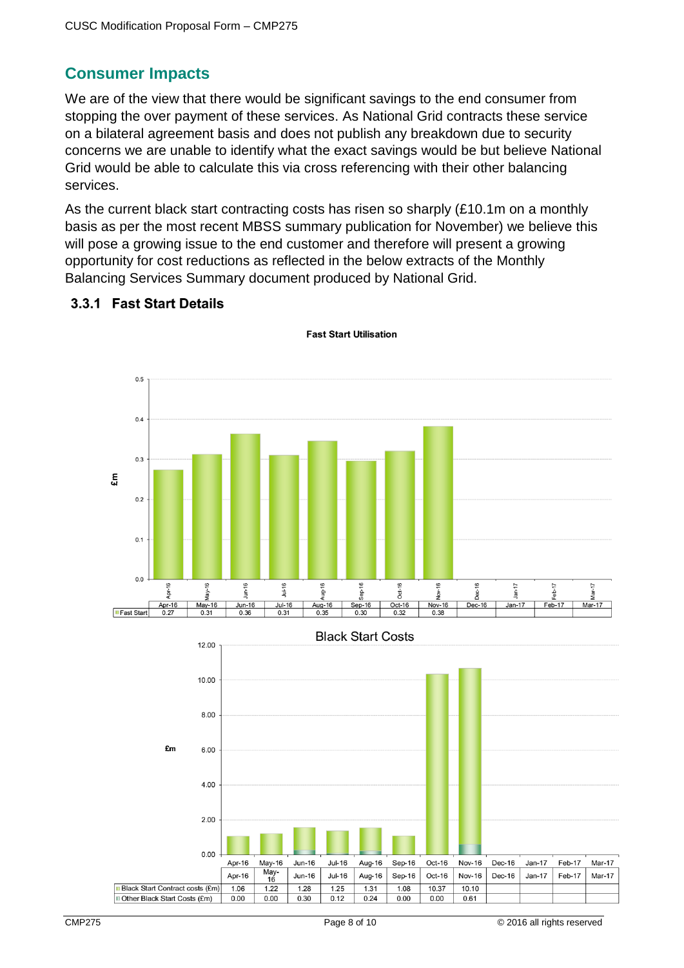## **Consumer Impacts**

We are of the view that there would be significant savings to the end consumer from stopping the over payment of these services. As National Grid contracts these service on a bilateral agreement basis and does not publish any breakdown due to security concerns we are unable to identify what the exact savings would be but believe National Grid would be able to calculate this via cross referencing with their other balancing services.

As the current black start contracting costs has risen so sharply (£10.1m on a monthly basis as per the most recent MBSS summary publication for November) we believe this will pose a growing issue to the end customer and therefore will present a growing opportunity for cost reductions as reflected in the below extracts of the Monthly Balancing Services Summary document produced by National Grid.

#### 3.3.1 Fast Start Details



**Fast Start Utilisation**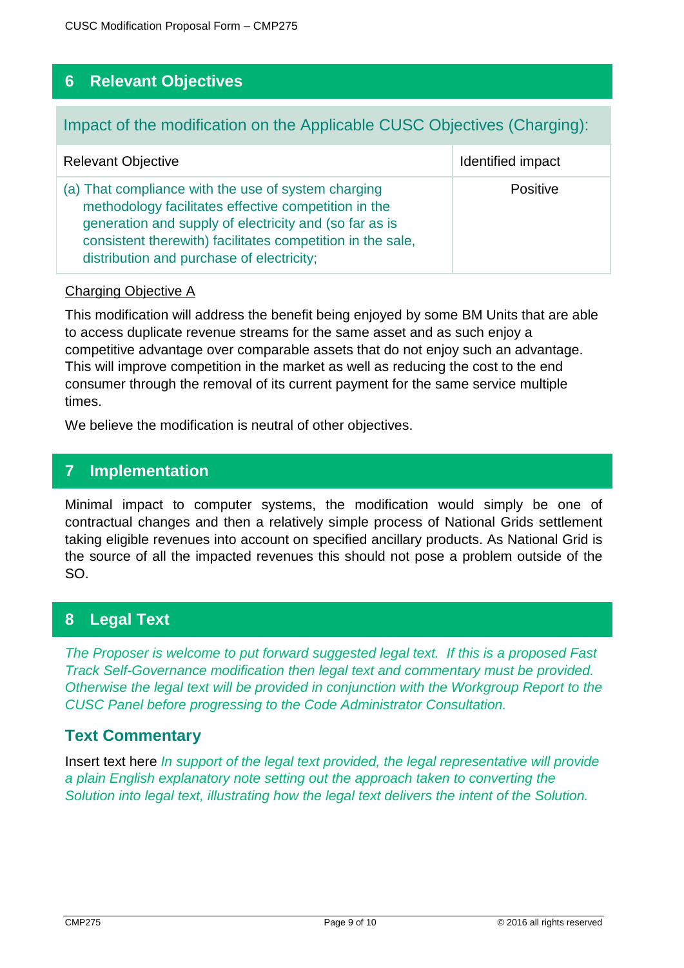## **6 Relevant Objectives**

## Impact of the modification on the Applicable CUSC Objectives (Charging):

| <b>Relevant Objective</b>                                                                                                                                                                                                                                                        | Identified impact |
|----------------------------------------------------------------------------------------------------------------------------------------------------------------------------------------------------------------------------------------------------------------------------------|-------------------|
| (a) That compliance with the use of system charging<br>methodology facilitates effective competition in the<br>generation and supply of electricity and (so far as is<br>consistent therewith) facilitates competition in the sale,<br>distribution and purchase of electricity; | <b>Positive</b>   |

#### Charging Objective A

This modification will address the benefit being enjoyed by some BM Units that are able to access duplicate revenue streams for the same asset and as such enjoy a competitive advantage over comparable assets that do not enjoy such an advantage. This will improve competition in the market as well as reducing the cost to the end consumer through the removal of its current payment for the same service multiple times.

We believe the modification is neutral of other objectives.

## **7 Implementation**

Minimal impact to computer systems, the modification would simply be one of contractual changes and then a relatively simple process of National Grids settlement taking eligible revenues into account on specified ancillary products. As National Grid is the source of all the impacted revenues this should not pose a problem outside of the SO.

## **8 Legal Text**

*The Proposer is welcome to put forward suggested legal text. If this is a proposed Fast Track Self-Governance modification then legal text and commentary must be provided. Otherwise the legal text will be provided in conjunction with the Workgroup Report to the CUSC Panel before progressing to the Code Administrator Consultation.* 

## **Text Commentary**

Insert text here *In support of the legal text provided, the legal representative will provide a plain English explanatory note setting out the approach taken to converting the Solution into legal text, illustrating how the legal text delivers the intent of the Solution.*